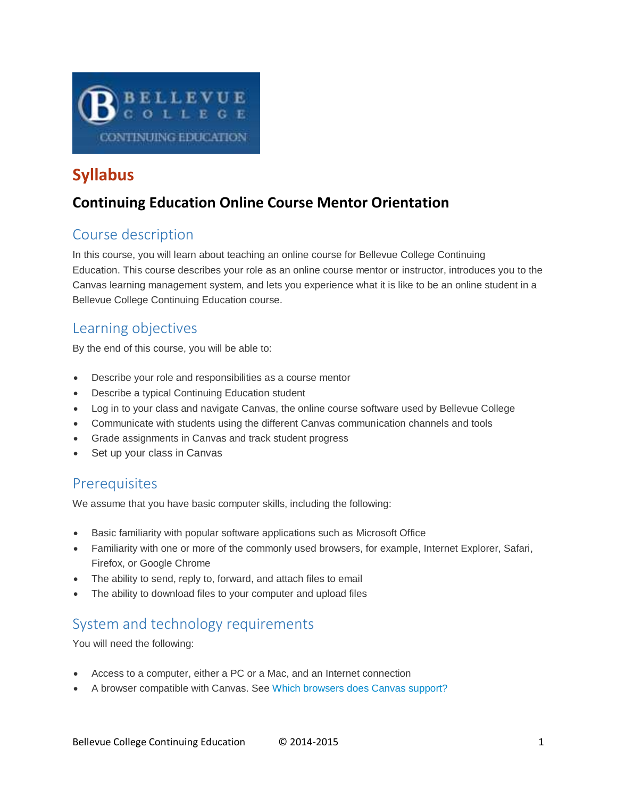

# **Syllabus**

## **Continuing Education Online Course Mentor Orientation**

## Course description

In this course, you will learn about teaching an online course for Bellevue College Continuing Education. This course describes your role as an online course mentor or instructor, introduces you to the Canvas learning management system, and lets you experience what it is like to be an online student in a Bellevue College Continuing Education course.

### Learning objectives

By the end of this course, you will be able to:

- Describe your role and responsibilities as a course mentor
- Describe a typical Continuing Education student
- Log in to your class and navigate Canvas, the online course software used by Bellevue College
- Communicate with students using the different Canvas communication channels and tools
- Grade assignments in Canvas and track student progress
- Set up your class in Canvas

### **Prerequisites**

We assume that you have basic computer skills, including the following:

- Basic familiarity with popular software applications such as Microsoft Office
- Familiarity with one or more of the commonly used browsers, for example, Internet Explorer, Safari, Firefox, or Google Chrome
- The ability to send, reply to, forward, and attach files to email
- The ability to download files to your computer and upload files

## System and technology requirements

You will need the following:

- Access to a computer, either a PC or a Mac, and an Internet connection
- A browser compatible with Canvas. See [Which browsers does Canvas support?](http://guides.instructure.com/s/2204/m/4214/l/41056-which-browsers-does-canvas-support)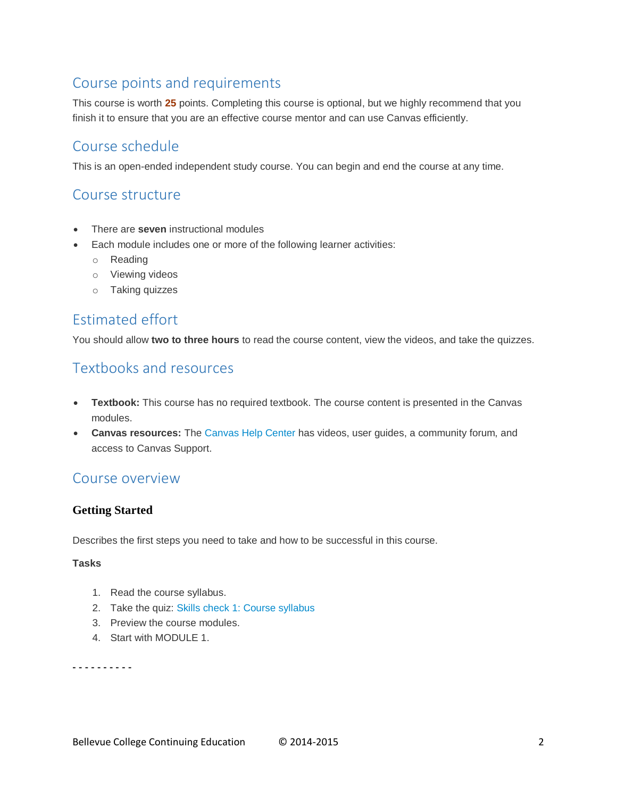## Course points and requirements

This course is worth **25** points. Completing this course is optional, but we highly recommend that you finish it to ensure that you are an effective course mentor and can use Canvas efficiently.

### Course schedule

This is an open-ended independent study course. You can begin and end the course at any time.

### Course structure

- There are **seven** instructional modules
- Each module includes one or more of the following learner activities:
	- o Reading
	- o Viewing videos
	- o Taking quizzes

### Estimated effort

You should allow **two to three hours** to read the course content, view the videos, and take the quizzes.

### Textbooks and resources

- **Textbook:** This course has no required textbook. The course content is presented in the Canvas modules.
- **Canvas resources:** The [Canvas Help Center](https://help.instructure.com/home) has videos, user guides, a community forum, and access to Canvas Support.

### Course overview

### **Getting Started**

Describes the first steps you need to take and how to be successful in this course.

### **Tasks**

- 1. Read the course syllabus.
- 2. Take the quiz: [Skills check 1: Course syllabus](https://canvas.instructure.com/courses/825191/quizzes/1099236)
- 3. Preview the course modules.
- 4. Start with MODULE 1.

**- - - - - - - - - -**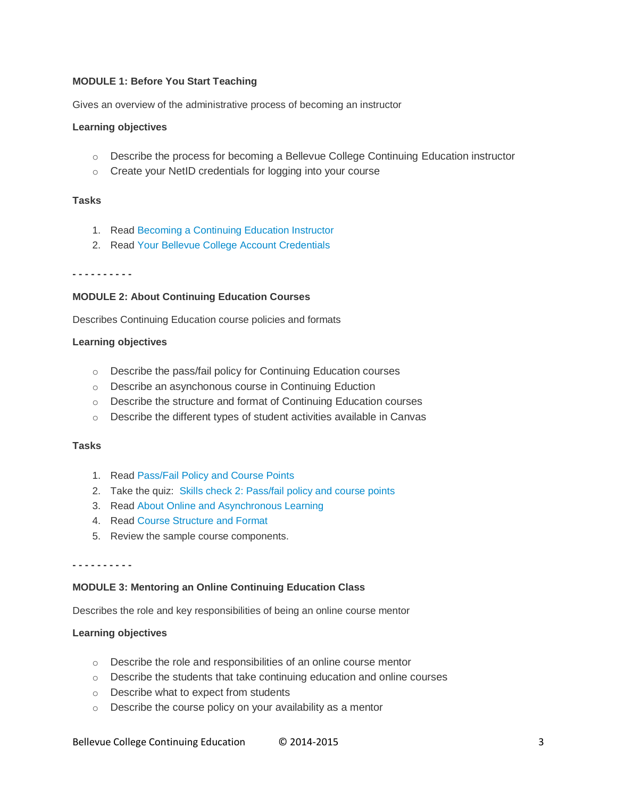#### **MODULE 1: Before You Start Teaching**

Gives an overview of the administrative process of becoming an instructor

#### **Learning objectives**

- o Describe the process for becoming a Bellevue College Continuing Education instructor
- o Create your NetID credentials for logging into your course

### **Tasks**

- 1. Read [Becoming a Continuing Education Instructor](https://canvas.instructure.com/courses/825191/pages/becoming-a-continuing-education-instructor)
- 2. Read [Your Bellevue College Account Credentials](https://canvas.instructure.com/courses/825191/pages/your-bellevue-college-account-credentials)

#### **- - - - - - - - - -**

#### **MODULE 2: About Continuing Education Courses**

Describes Continuing Education course policies and formats

#### **Learning objectives**

- o Describe the pass/fail policy for Continuing Education courses
- o Describe an asynchonous course in Continuing Eduction
- o Describe the structure and format of Continuing Education courses
- o Describe the different types of student activities available in Canvas

#### **Tasks**

- 1. Read [Pass/Fail Policy and Course Points](https://canvas.instructure.com/courses/825191/pages/pass-slash-fail-policy-and-course-points)
- 2. Take the quiz: [Skills check 2: Pass/fail policy and course points](https://canvas.instructure.com/courses/825191/quizzes/1091510)
- 3. Read [About Online and Asynchronous Learning](https://canvas.instructure.com/courses/825191/pages/about-online-and-asynchronous-learning)
- 4. Read [Course Structure and Format](https://canvas.instructure.com/courses/825191/pages/course-structure-and-format)
- 5. Review the sample course components.

#### **- - - - - - - - - -**

#### **MODULE 3: Mentoring an Online Continuing Education Class**

Describes the role and key responsibilities of being an online course mentor

#### **Learning objectives**

- o Describe the role and responsibilities of an online course mentor
- $\circ$  Describe the students that take continuing education and online courses
- o Describe what to expect from students
- $\circ$  Describe the course policy on your availability as a mentor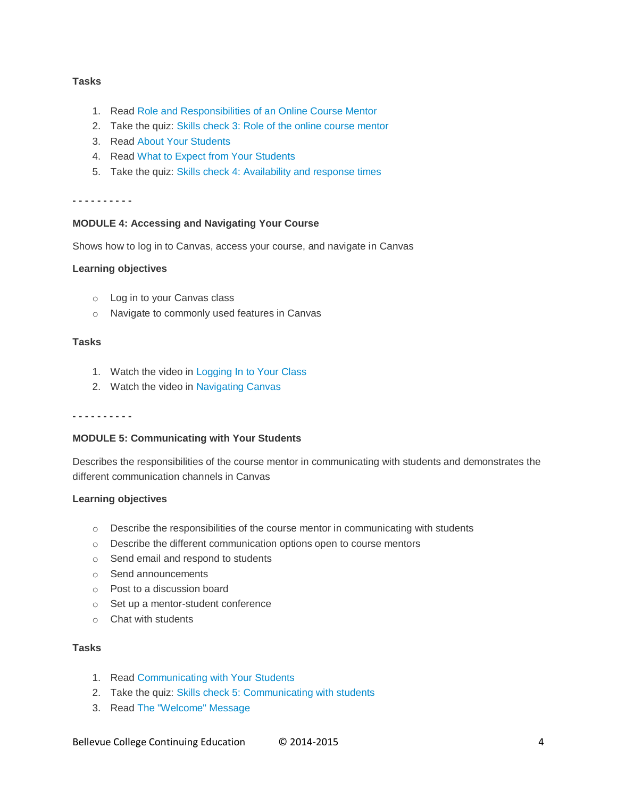#### **Tasks**

- 1. Read [Role and Responsibilities of an Online Course Mentor](https://canvas.instructure.com/courses/825191/pages/role-and-responsibilities-of-an-online-course-mentor)
- 2. Take the quiz: [Skills check 3: Role of the online course mentor](https://canvas.instructure.com/courses/825191/quizzes/1091563)
- 3. Read [About Your Students](https://canvas.instructure.com/courses/825191/pages/about-your-students)
- 4. Read [What to Expect from Your Students](https://canvas.instructure.com/courses/825191/pages/what-to-expect-from-your-students)
- 5. Take the quiz: [Skills check 4: Availability and response times](https://canvas.instructure.com/courses/825191/quizzes/1094505)

**- - - - - - - - - -**

#### **MODULE 4: Accessing and Navigating Your Course**

Shows how to log in to Canvas, access your course, and navigate in Canvas

#### **Learning objectives**

- o Log in to your Canvas class
- o Navigate to commonly used features in Canvas

#### **Tasks**

- 1. Watch the video in [Logging In to Your Class](https://canvas.instructure.com/courses/825191/pages/logging-in-to-your-class)
- 2. Watch the video in [Navigating Canvas](https://canvas.instructure.com/courses/825191/pages/navigating-canvas)

**- - - - - - - - - -**

#### **MODULE 5: Communicating with Your Students**

Describes the responsibilities of the course mentor in communicating with students and demonstrates the different communication channels in Canvas

#### **Learning objectives**

- $\circ$  Describe the responsibilities of the course mentor in communicating with students
- o Describe the different communication options open to course mentors
- o Send email and respond to students
- o Send announcements
- o Post to a discussion board
- o Set up a mentor-student conference
- o Chat with students

### **Tasks**

- 1. Read [Communicating with Your Students](https://canvas.instructure.com/courses/825191/pages/communicating-with-your-students)
- 2. Take the quiz: [Skills check 5: Communicating with students](https://canvas.instructure.com/courses/825191/quizzes/1094477)
- 3. Read [The "Welcome" Message](https://canvas.instructure.com/courses/825191/pages/the-welcome-message)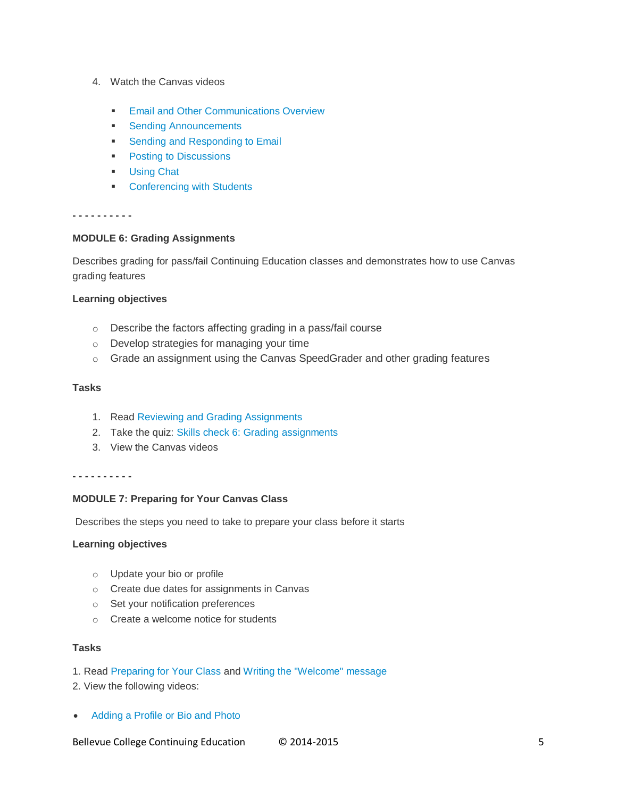- 4. Watch the Canvas videos
	- **[Email and Other Communications Overview](https://canvas.instructure.com/courses/825191/pages/email-and-other-communications-overview)**
	- **[Sending Announcements](https://canvas.instructure.com/courses/825191/pages/sending-announcements)**
	- **[Sending and Responding to Email](https://canvas.instructure.com/courses/825191/pages/sending-and-responding-to-email)**
	- [Posting to Discussions](https://canvas.instructure.com/courses/825191/pages/posting-to-discussions)
	- **[Using Chat](https://canvas.instructure.com/courses/825191/pages/using-chat)**
	- **[Conferencing with Students](https://canvas.instructure.com/courses/825191/pages/conferencing-with-students)**

#### **- - - - - - - - - -**

#### **MODULE 6: Grading Assignments**

Describes grading for pass/fail Continuing Education classes and demonstrates how to use Canvas grading features

### **Learning objectives**

- o Describe the factors affecting grading in a pass/fail course
- o Develop strategies for managing your time
- o Grade an assignment using the Canvas SpeedGrader and other grading features

#### **Tasks**

- 1. Read [Reviewing and Grading Assignments](https://canvas.instructure.com/courses/825191/pages/reviewing-and-grading-assignments)
- 2. Take the quiz: [Skills check 6: Grading assignments](https://canvas.instructure.com/courses/825191/quizzes/1096795)
- 3. View the Canvas videos

#### **- - - - - - - - - -**

### **MODULE 7: Preparing for Your Canvas Class**

Describes the steps you need to take to prepare your class before it starts

#### **Learning objectives**

- o Update your bio or profile
- o Create due dates for assignments in Canvas
- o Set your notification preferences
- o Create a welcome notice for students

#### **Tasks**

#### 1. Read [Preparing for Your Class](https://canvas.instructure.com/courses/825191/pages/preparing-for-your-class) and [Writing the "Welcome" message](https://canvas.instructure.com/courses/825191/modules/items/6574277)

- 2. View the following videos:
- [Adding a Profile or Bio and Photo](https://canvas.instructure.com/courses/825191/pages/adding-a-profile-or-bio-and-photo)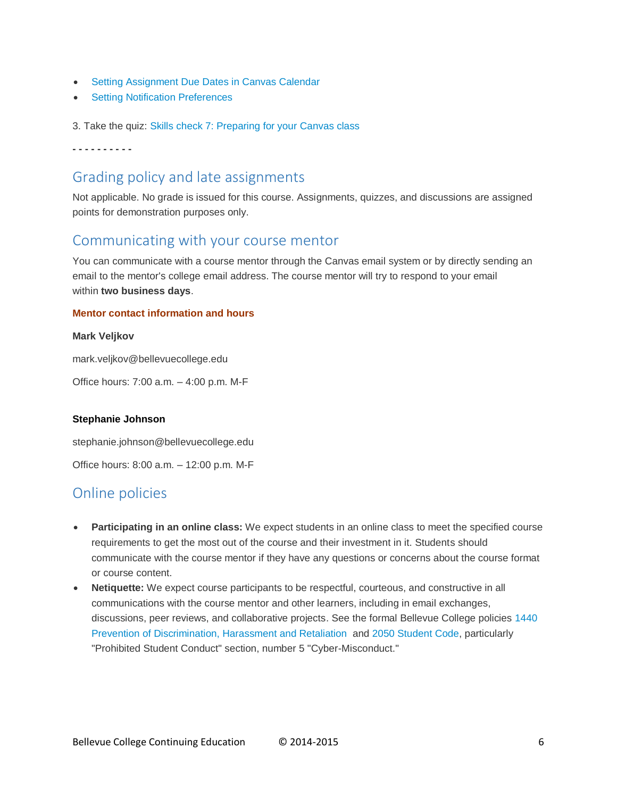- [Setting Assignment Due Dates in Canvas Calendar](https://canvas.instructure.com/courses/825191/pages/setting-assignment-due-dates-in-canvas-calendar)
- **[Setting Notification Preferences](https://canvas.instructure.com/courses/825191/pages/setting-notification-preferences)**

3. Take the quiz: [Skills check 7: Preparing for your Canvas class](https://canvas.instructure.com/courses/825191/quizzes/1104312)

**- - - - - - - - - -**

### Grading policy and late assignments

Not applicable. No grade is issued for this course. Assignments, quizzes, and discussions are assigned points for demonstration purposes only.

### Communicating with your course mentor

You can communicate with a course mentor through the Canvas email system or by directly sending an email to the mentor's college email address. The course mentor will try to respond to your email within **two business days**.

### **Mentor contact information and hours**

#### **Mark Veljkov**

mark.veljkov@bellevuecollege.edu

Office hours: 7:00 a.m. – 4:00 p.m. M-F

### **Stephanie Johnson**

stephanie.johnson@bellevuecollege.edu

Office hours: 8:00 a.m. – 12:00 p.m. M-F

## Online policies

- **Participating in an online class:** We expect students in an online class to meet the specified course requirements to get the most out of the course and their investment in it. Students should communicate with the course mentor if they have any questions or concerns about the course format or course content.
- **Netiquette:** We expect course participants to be respectful, courteous, and constructive in all communications with the course mentor and other learners, including in email exchanges, discussions, peer reviews, and collaborative projects. See the formal Bellevue College policies [1440](http://www.bellevuecollege.edu/policies/id-1440/)  [Prevention of Discrimination, Harassment and Retaliation](http://www.bellevuecollege.edu/policies/id-1440/) and [2050 Student Code,](http://www.bellevuecollege.edu/policies/id-2050/) particularly "Prohibited Student Conduct" section, number 5 "Cyber-Misconduct."